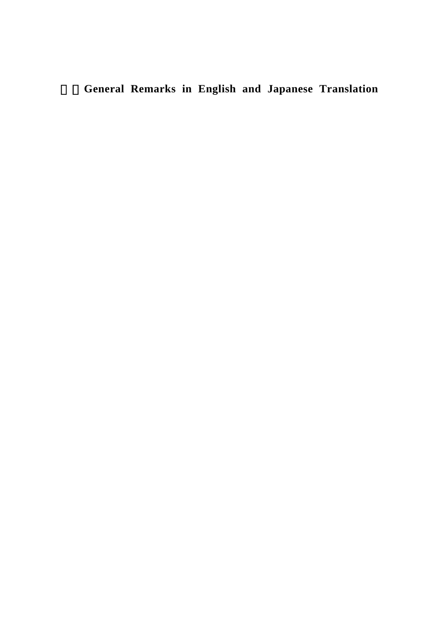## 2.**General Remarks in English and Japanese Translation**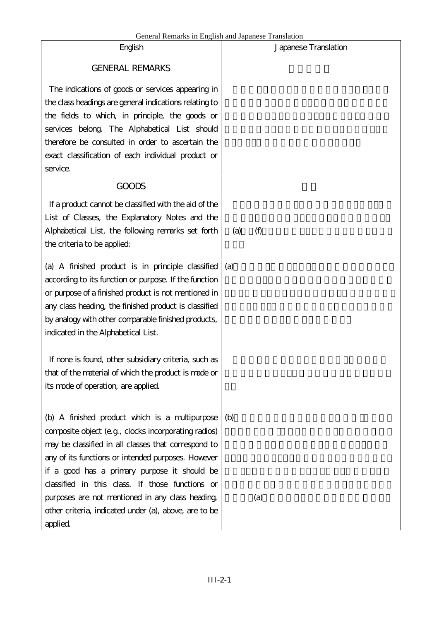| General Remarks in English and Japanese Translation<br>English | Japanese Translation |
|----------------------------------------------------------------|----------------------|
|                                                                |                      |
| <b>GENERAL REMARKS</b>                                         |                      |
| The indications of goods or services appearing in              |                      |
| the class headings are general indications relating to         |                      |
| the fields to which, in principle, the goods or                |                      |
| services belong. The Alphabetical List should                  |                      |
| therefore be consulted in order to ascertain the               |                      |
| exact classification of each individual product or             |                      |
| service.                                                       |                      |
| <b>GOODS</b>                                                   |                      |
| If a product cannot be classified with the aid of the          |                      |
| List of Classes, the Explanatory Notes and the                 |                      |
| Alphabetical List, the following remarks set forth             | (f)<br>(a)           |
| the criteria to be applied:                                    |                      |
| (a) A finished product is in principle classified              | (a)                  |
| according to its function or purpose. If the function          |                      |
| or purpose of a finished product is not mentioned in           |                      |
| any class heading, the finished product is classified          |                      |
| by analogy with other comparable finished products,            |                      |
| indicated in the Alphabetical List.                            |                      |
|                                                                |                      |
| If none is found, other subsidiary criteria, such as           |                      |
| that of the material of which the product is made or           |                      |
| its mode of operation, are applied.                            |                      |
|                                                                |                      |
| (b) A finished product which is a multipurpose                 | (b)                  |
| composite object (e.g., clocks incorporating radios)           |                      |
| may be classified in all classes that correspond to            |                      |
| any of its functions or intended purposes. However             |                      |
| if a good has a primary purpose it should be                   |                      |
| classified in this class. If those functions or                |                      |
| purposes are not mentioned in any class heading.               | (a)                  |
| other criteria, indicated under (a), above, are to be          |                      |
| applied.                                                       |                      |
|                                                                |                      |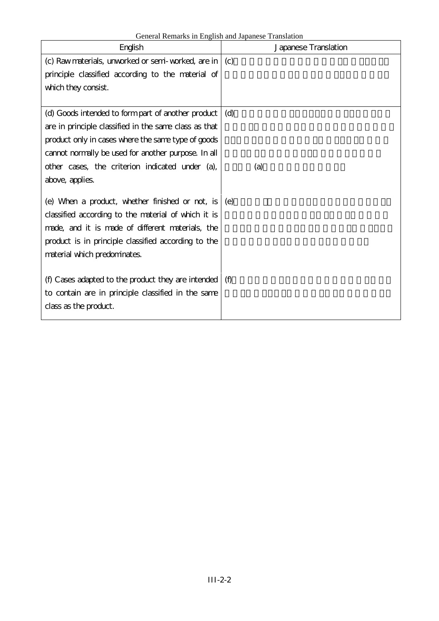| General Remarks in English and Japanese Translation |  |
|-----------------------------------------------------|--|
|-----------------------------------------------------|--|

| English                                                        | Japanese Translation |
|----------------------------------------------------------------|----------------------|
| (c) Raw materials, unworked or semi-worked, are in $\vert$ (c) |                      |
| principle classified according to the material of              |                      |
| which they consist.                                            |                      |
|                                                                |                      |
| (d) Goods intended to form part of another product             | (d)                  |
| are in principle classified in the same class as that          |                      |
| product only in cases where the same type of goods             |                      |
| cannot normally be used for another purpose. In all            |                      |
| other cases, the criterion indicated under (a),                | (a)                  |
| above, applies.                                                |                      |
|                                                                |                      |
| (e) When a product, whether finished or not, is                | (e)                  |
| classified according to the material of which it is            |                      |
| made, and it is made of different materials, the               |                      |
| product is in principle classified according to the            |                      |
| material which predominates.                                   |                      |
|                                                                |                      |
| (f) Cases adapted to the product they are intended $\int$ (f)  |                      |
| to contain are in principle classified in the same             |                      |
| class as the product.                                          |                      |
|                                                                |                      |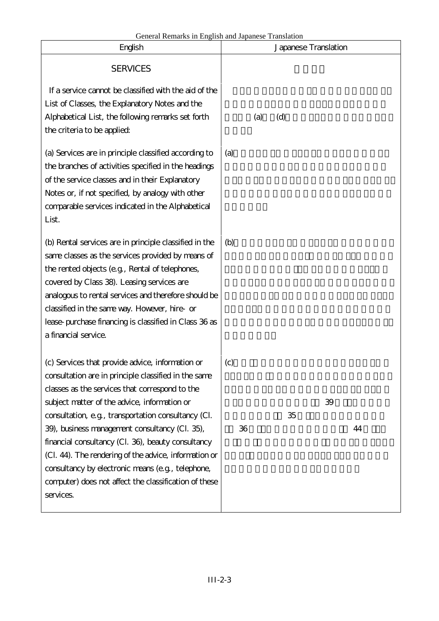| English                                                                                                                                                                                                                                                                                                                                                                                                                                                                                                                                                       | Japanese Translation                      |
|---------------------------------------------------------------------------------------------------------------------------------------------------------------------------------------------------------------------------------------------------------------------------------------------------------------------------------------------------------------------------------------------------------------------------------------------------------------------------------------------------------------------------------------------------------------|-------------------------------------------|
| <b>SERVICES</b>                                                                                                                                                                                                                                                                                                                                                                                                                                                                                                                                               |                                           |
| If a service cannot be classified with the aid of the<br>List of Classes, the Explanatory Notes and the<br>Alphabetical List, the following remarks set forth<br>the criteria to be applied:                                                                                                                                                                                                                                                                                                                                                                  | (d)<br>(a)                                |
| (a) Services are in principle classified according to<br>the branches of activities specified in the headings<br>of the service classes and in their Explanatory<br>Notes or, if not specified, by analogy with other<br>comparable services indicated in the Alphabetical<br>List.                                                                                                                                                                                                                                                                           | (a)                                       |
| (b) Rental services are in principle classified in the<br>same classes as the services provided by means of<br>the rented objects (e.g., Rental of telephones,<br>covered by Class 38). Leasing services are<br>analogous to rental services and therefore should be<br>classified in the same way. However, hire- or<br>lease-purchase financing is classified in Class 36 as<br>a financial service.                                                                                                                                                        | (b)                                       |
| (c) Services that provide advice, information or<br>consultation are in principle classified in the same<br>classes as the services that correspond to the<br>subject matter of the advice, information or<br>consultation, e.g., transportation consultancy (Cl.<br>39), business management consultancy (Cl. 35),<br>financial consultancy (Cl. 36), beauty consultancy<br>(Cl. 44). The rendering of the advice, information or<br>consultancy by electronic means (e.g., telephone,<br>computer) does not affect the classification of these<br>services. | $\left( c\right)$<br>39<br>35<br>36<br>44 |